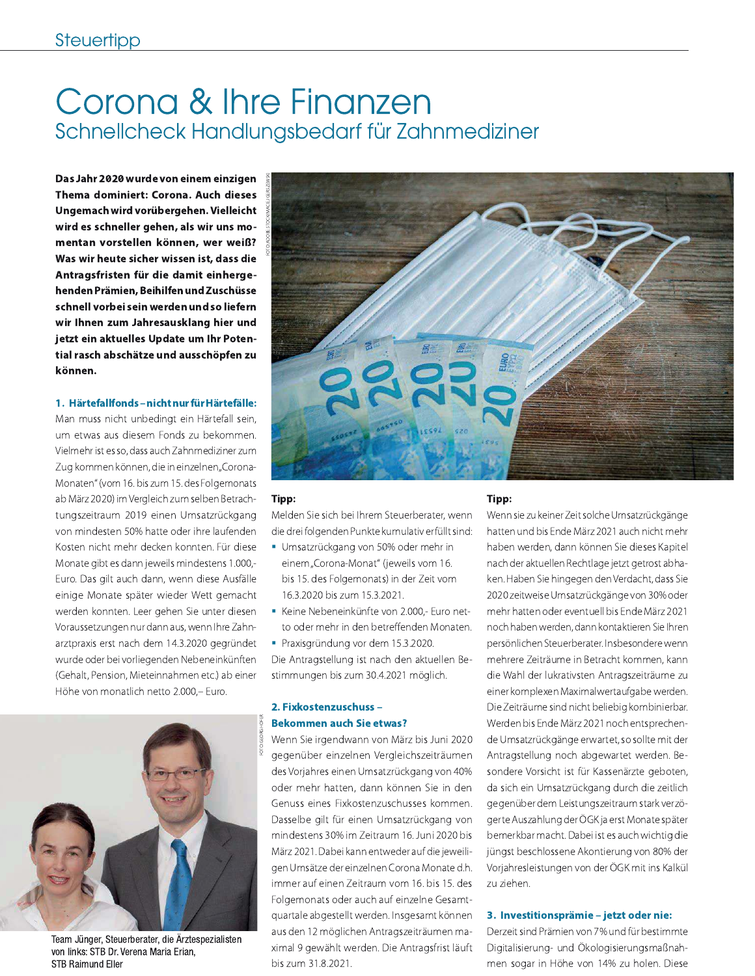# Corona & Ihre Finanzen Schnellcheck Handlungsbedarf für Zahnmediziner

Das Jahr 2020 wurde von einem einzigen Thema dominiert: Corona. Auch dieses Ungemach wird vorübergehen. Vielleicht wird es schneller gehen, als wir uns momentan vorstellen können, wer weiß? Was wir heute sicher wissen ist, dass die Antragsfristen für die damit einhergehenden Prämien, Beihilfen und Zuschüsse schnell vorbei sein werden und so liefern wir Ihnen zum Jahresausklang hier und jetzt ein aktuelles Update um Ihr Potential rasch abschätze und ausschöpfen zu können.

#### 1. Härtefallfonds-nicht nur für Härtefälle:

Man muss nicht unbedingt ein Härtefall sein, um etwas aus diesem Fonds zu bekommen. Vielmehr ist es so, dass auch Zahnmediziner zum Zug kommen können, die in einzelnen"Corona-Monaten" (vom 16. bis zum 15. des Folgemonats ab März 2020) im Vergleich zum selben Betrachtungszeitraum 2019 einen Umsatzrückgang von mindesten 50% hatte oder ihre laufenden Kosten nicht mehr decken konnten. Für diese Monate gibt es dann jeweils mindestens 1.000,-Euro. Das gilt auch dann, wenn diese Ausfälle einige Monate später wieder Wett gemacht werden konnten. Leer gehen Sie unter diesen Voraussetzungen nur dann aus, wenn Ihre Zahnarztpraxis erst nach dem 14.3.2020 gegründet wurde oder bei vorliegenden Nebeneinkünften (Gehalt, Pension, Mieteinnahmen etc.) ab einer Höhe von monatlich netto 2.000,- Euro.



Team Jünger, Steuerberater, die Ärztespezialisten von links: STB Dr. Verena Maria Erian. **STB Raimund Eller** 



#### Tipp:

Melden Sie sich bei Ihrem Steuerberater, wenn die drei folgenden Punkte kumulativ erfüllt sind:

- · Umsatzrückgang von 50% oder mehr in einem "Corona-Monat" (jeweils vom 16. bis 15. des Folgemonats) in der Zeit vom 16.3.2020 bis zum 15.3.2021.
- Keine Nebeneinkünfte von 2.000,- Euro netto oder mehr in den betreffenden Monaten.
- Praxisgründung vor dem 15.3.2020. Die Antragstellung ist nach den aktuellen Bestimmungen bis zum 30.4.2021 möglich.

#### 2. Fixkostenzuschuss -**Bekommen auch Sie etwas?**

Wenn Sie irgendwann von März bis Juni 2020 gegenüber einzelnen Vergleichszeiträumen des Vorjahres einen Umsatzrückgang von 40% oder mehr hatten, dann können Sie in den Genuss eines Fixkostenzuschusses kommen. Dasselbe gilt für einen Umsatzrückgang von mindestens 30% im Zeitraum 16. Juni 2020 bis März 2021. Dabei kann entweder auf die jeweiligen Umsätze der einzelnen Corona Monate d.h. immer auf einen Zeitraum vom 16. bis 15. des Folgemonats oder auch auf einzelne Gesamtquartale abgestellt werden. Insgesamt können aus den 12 möglichen Antragszeiträumen maximal 9 gewählt werden. Die Antragsfrist läuft bis zum 31.8.2021.

#### Tipp:

Wenn sie zu keiner Zeit solche Umsatzrückgänge hatten und bis Ende März 2021 auch nicht mehr haben werden, dann können Sie dieses Kapitel nach der aktuellen Rechtlage jetzt getrost abhaken. Haben Sie hingegen den Verdacht, dass Sie 2020 zeitweise Umsatzrückgänge von 30% oder mehr hatten oder eventuell bis Ende März 2021 noch haben werden, dann kontaktieren Sie Ihren persönlichen Steuerberater. Insbesondere wenn mehrere Zeiträume in Betracht kommen, kann die Wahl der lukrativsten Antragszeiträume zu einer komplexen Maximalwertaufgabe werden. Die Zeiträume sind nicht beliebig kombinierbar. Werden bis Ende März 2021 noch entsprechende Umsatzrückgänge erwartet, so sollte mit der Antragstellung noch abgewartet werden. Besondere Vorsicht ist für Kassenärzte geboten, da sich ein Umsatzrückgang durch die zeitlich gegenüber dem Leistungszeitraum stark verzögerte Auszahlung der ÖGK ja erst Monate später bemerkbar macht. Dabei ist es auch wichtig die jüngst beschlossene Akontierung von 80% der Vorjahresleistungen von der ÖGK mit ins Kalkül zu ziehen.

#### 3. Investitionsprämie - jetzt oder nie:

Derzeit sind Prämien von 7% und für bestimmte Digitalisierung- und Ökologisierungsmaßnahmen sogar in Höhe von 14% zu holen. Diese